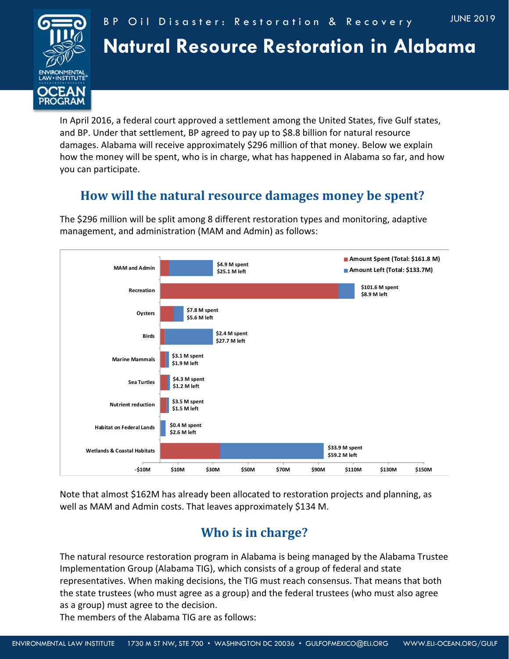



# **Natural Resource Restoration in Alabama**

In April 2016, a federal court approved a settlement among the United States, five Gulf states, and BP. Under that settlement, BP agreed to pay up to \$8.8 billion for natural resource damages. Alabama will receive approximately \$296 million of that money. Below we explain how the money will be spent, who is in charge, what has happened in Alabama so far, and how you can participate.

### **How will the natural resource damages money be spent?**

The \$296 million will be split among 8 different restoration types and monitoring, adaptive management, and administration (MAM and Admin) as follows:



Note that almost \$162M has already been allocated to restoration projects and planning, as well as MAM and Admin costs. That leaves approximately \$134 M.

## **Who is in charge?**

The natural resource restoration program in Alabama is being managed by the Alabama Trustee Implementation Group (Alabama TIG), which consists of a group of federal and state representatives. When making decisions, the TIG must reach consensus. That means that both the state trustees (who must agree as a group) and the federal trustees (who must also agree as a group) must agree to the decision.

The members of the Alabama TIG are as follows: